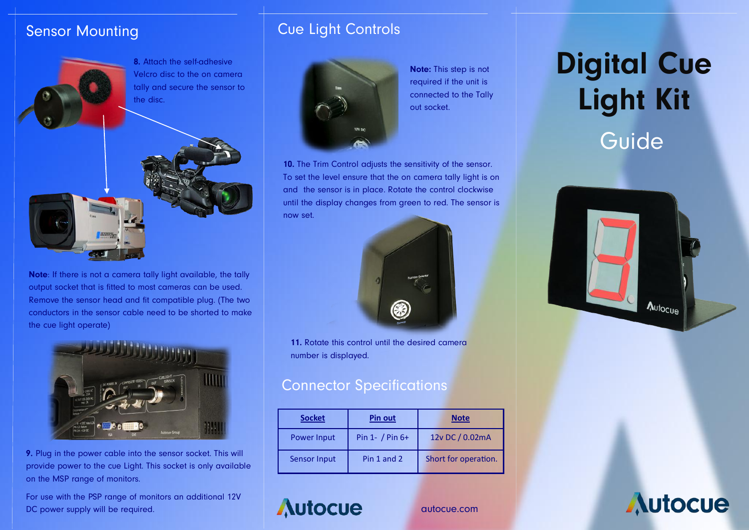#### Sensor Mounting



**Note**: If there is not a camera tally light available, the tally output socket that is fitted to most cameras can be used. Remove the sensor head and fit compatible plug. (The two conductors in the sensor cable need to be shorted to make the cue light operate)



**9.** Plug in the power cable into the sensor socket. This will provide power to the cue Light. This socket is only available on the MSP range of monitors.

For use with the PSP range of monitors an additional 12V DC power supply will be required.

### Cue Light Controls



**Note:** This step is not required if the unit is connected to the Tally out socket.

**10.** The Trim Control adjusts the sensitivity of the sensor. To set the level ensure that the on camera tally light is on and the sensor is in place. Rotate the control clockwise until the display changes from green to red. The sensor is now set.



**11.** Rotate this control until the desired camera number is displayed.

#### Connector Specifications

**Autocue** 

| <b>Socket</b> | <b>Pin out</b>    | <b>Note</b>          |
|---------------|-------------------|----------------------|
| Power Input   | Pin 1- $/$ Pin 6+ | 12v DC / 0.02mA      |
| Sensor Input  | Pin 1 and 2       | Short for operation. |

autocue.com

# **Guide Digital Cue Light Kit**



**Autocue**